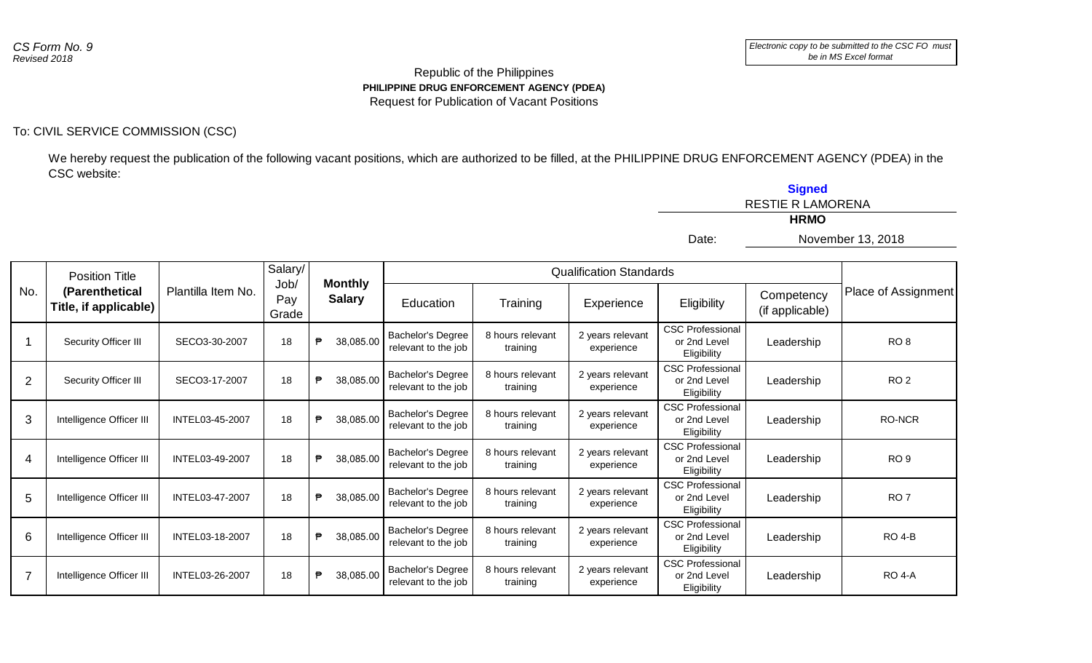## Republic of the Philippines **PHILIPPINE DRUG ENFORCEMENT AGENCY (PDEA)** Request for Publication of Vacant Positions

## To: CIVIL SERVICE COMMISSION (CSC)

We hereby request the publication of the following vacant positions, which are authorized to be filled, at the PHILIPPINE DRUG ENFORCEMENT AGENCY (PDEA) in the CSC website:

|                |                                         |                    |                      |                                 |                                                 |                              |                                | <b>Signed</b><br><b>RESTIE R LAMORENA</b><br><b>HRMO</b> |                               |                     |  |  |  |
|----------------|-----------------------------------------|--------------------|----------------------|---------------------------------|-------------------------------------------------|------------------------------|--------------------------------|----------------------------------------------------------|-------------------------------|---------------------|--|--|--|
|                |                                         |                    |                      |                                 |                                                 |                              |                                | Date:                                                    |                               | November 13, 2018   |  |  |  |
|                | <b>Position Title</b>                   |                    | Salary/              |                                 |                                                 |                              | <b>Qualification Standards</b> |                                                          |                               |                     |  |  |  |
| No.            | (Parenthetical<br>Title, if applicable) | Plantilla Item No. | Job/<br>Pay<br>Grade | <b>Monthly</b><br><b>Salary</b> | Education                                       | Training                     | Experience                     | Eligibility                                              | Competency<br>(if applicable) | Place of Assignment |  |  |  |
|                | Security Officer III                    | SECO3-30-2007      | 18                   | ₱<br>38,085.00                  | <b>Bachelor's Degree</b><br>relevant to the job | 8 hours relevant<br>training | 2 years relevant<br>experience | <b>CSC Professional</b><br>or 2nd Level<br>Eligibility   | Leadership                    | RO <sub>8</sub>     |  |  |  |
| $\overline{2}$ | Security Officer III                    | SECO3-17-2007      | 18                   | ₱<br>38,085.00                  | Bachelor's Degree<br>relevant to the job        | 8 hours relevant<br>training | 2 years relevant<br>experience | <b>CSC Professional</b><br>or 2nd Level<br>Eligibility   | Leadership                    | RO <sub>2</sub>     |  |  |  |
| 3              | Intelligence Officer III                | INTEL03-45-2007    | 18                   | ₱<br>38,085.00                  | <b>Bachelor's Degree</b><br>relevant to the job | 8 hours relevant<br>training | 2 years relevant<br>experience | <b>CSC Professional</b><br>or 2nd Level<br>Eligibility   | Leadership                    | <b>RO-NCR</b>       |  |  |  |
| 4              | Intelligence Officer III                | INTEL03-49-2007    | 18                   | ₱<br>38,085.00                  | Bachelor's Degree<br>relevant to the job        | 8 hours relevant<br>training | 2 years relevant<br>experience | <b>CSC Professional</b><br>or 2nd Level<br>Eligibility   | Leadership                    | RO <sub>9</sub>     |  |  |  |
| 5              | Intelligence Officer III                | INTEL03-47-2007    | 18                   | ₱<br>38,085.00                  | <b>Bachelor's Degree</b><br>relevant to the job | 8 hours relevant<br>training | 2 years relevant<br>experience | <b>CSC Professional</b><br>or 2nd Level<br>Eligibility   | Leadership                    | RO <sub>7</sub>     |  |  |  |
| 6              | Intelligence Officer III                | INTEL03-18-2007    | 18                   | ₱<br>38,085.00                  | Bachelor's Degree<br>relevant to the job        | 8 hours relevant<br>training | 2 years relevant<br>experience | <b>CSC Professional</b><br>or 2nd Level<br>Eligibility   | Leadership                    | <b>RO 4-B</b>       |  |  |  |
| $\overline{7}$ | Intelligence Officer III                | INTEL03-26-2007    | 18                   | ₱<br>38,085.00                  | <b>Bachelor's Degree</b><br>relevant to the job | 8 hours relevant<br>training | 2 years relevant<br>experience | <b>CSC Professional</b><br>or 2nd Level<br>Eligibility   | Leadership                    | <b>RO 4-A</b>       |  |  |  |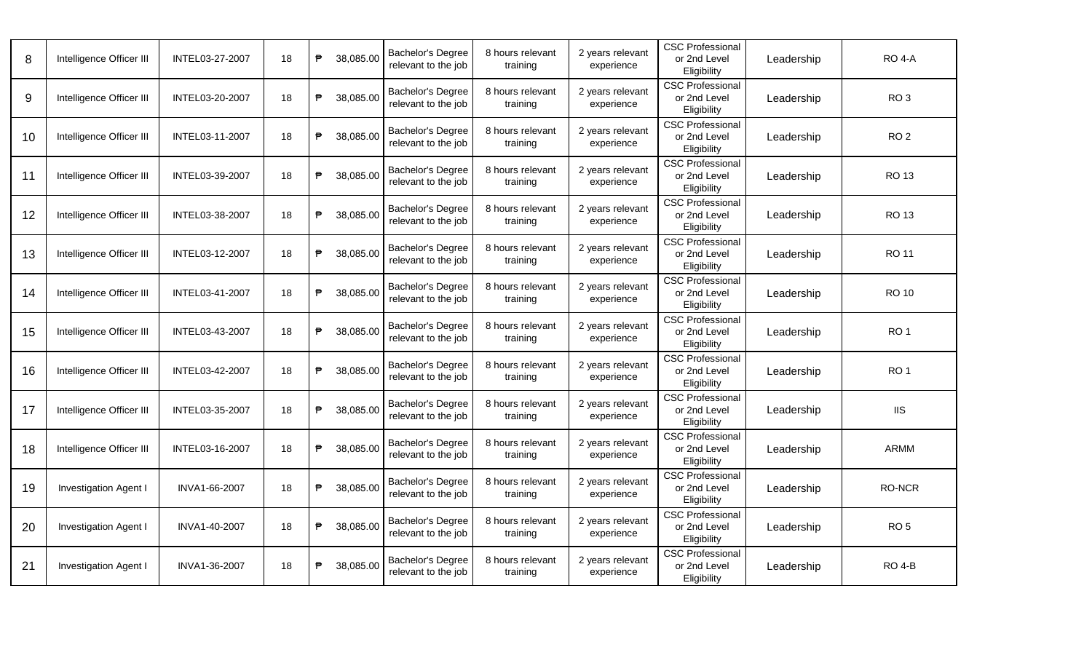| 8  | Intelligence Officer III     | INTEL03-27-2007 | 18 | ₱ | 38,085.00 | <b>Bachelor's Degree</b><br>relevant to the job | 8 hours relevant<br>training | 2 years relevant<br>experience | <b>CSC Professional</b><br>or 2nd Level<br>Eligibility | Leadership | <b>RO 4-A</b>   |
|----|------------------------------|-----------------|----|---|-----------|-------------------------------------------------|------------------------------|--------------------------------|--------------------------------------------------------|------------|-----------------|
| 9  | Intelligence Officer III     | INTEL03-20-2007 | 18 | ₱ | 38,085.00 | <b>Bachelor's Degree</b><br>relevant to the job | 8 hours relevant<br>training | 2 years relevant<br>experience | <b>CSC Professional</b><br>or 2nd Level<br>Eligibility | Leadership | RO <sub>3</sub> |
| 10 | Intelligence Officer III     | INTEL03-11-2007 | 18 | ₱ | 38.085.00 | <b>Bachelor's Degree</b><br>relevant to the job | 8 hours relevant<br>training | 2 years relevant<br>experience | <b>CSC Professional</b><br>or 2nd Level<br>Eligibility | Leadership | RO <sub>2</sub> |
| 11 | Intelligence Officer III     | INTEL03-39-2007 | 18 | ₱ | 38,085.00 | <b>Bachelor's Degree</b><br>relevant to the job | 8 hours relevant<br>training | 2 years relevant<br>experience | <b>CSC Professional</b><br>or 2nd Level<br>Eligibility | Leadership | <b>RO 13</b>    |
| 12 | Intelligence Officer III     | INTEL03-38-2007 | 18 | ₱ | 38,085.00 | Bachelor's Degree<br>relevant to the job        | 8 hours relevant<br>training | 2 years relevant<br>experience | <b>CSC Professional</b><br>or 2nd Level<br>Eligibility | Leadership | RO 13           |
| 13 | Intelligence Officer III     | INTEL03-12-2007 | 18 | ₱ | 38,085.00 | <b>Bachelor's Degree</b><br>relevant to the job | 8 hours relevant<br>training | 2 years relevant<br>experience | <b>CSC Professional</b><br>or 2nd Level<br>Eligibility | Leadership | RO 11           |
| 14 | Intelligence Officer III     | INTEL03-41-2007 | 18 | ₱ | 38,085.00 | <b>Bachelor's Degree</b><br>relevant to the job | 8 hours relevant<br>training | 2 years relevant<br>experience | <b>CSC Professional</b><br>or 2nd Level<br>Eligibility | Leadership | <b>RO 10</b>    |
| 15 | Intelligence Officer III     | INTEL03-43-2007 | 18 | ₱ | 38.085.00 | <b>Bachelor's Degree</b><br>relevant to the job | 8 hours relevant<br>training | 2 years relevant<br>experience | <b>CSC Professional</b><br>or 2nd Level<br>Eligibility | Leadership | RO <sub>1</sub> |
| 16 | Intelligence Officer III     | INTEL03-42-2007 | 18 | ₱ | 38,085.00 | <b>Bachelor's Degree</b><br>relevant to the job | 8 hours relevant<br>training | 2 years relevant<br>experience | <b>CSC Professional</b><br>or 2nd Level<br>Eligibility | Leadership | RO <sub>1</sub> |
| 17 | Intelligence Officer III     | INTEL03-35-2007 | 18 | ₱ | 38,085.00 | <b>Bachelor's Degree</b><br>relevant to the job | 8 hours relevant<br>training | 2 years relevant<br>experience | <b>CSC Professional</b><br>or 2nd Level<br>Eligibility | Leadership | IIS.            |
| 18 | Intelligence Officer III     | INTEL03-16-2007 | 18 | ₱ | 38,085.00 | <b>Bachelor's Degree</b><br>relevant to the job | 8 hours relevant<br>training | 2 years relevant<br>experience | <b>CSC Professional</b><br>or 2nd Level<br>Eligibility | Leadership | <b>ARMM</b>     |
| 19 | <b>Investigation Agent I</b> | INVA1-66-2007   | 18 | ₱ | 38.085.00 | <b>Bachelor's Degree</b><br>relevant to the job | 8 hours relevant<br>training | 2 years relevant<br>experience | <b>CSC Professional</b><br>or 2nd Level<br>Eligibility | Leadership | <b>RO-NCR</b>   |
| 20 | <b>Investigation Agent I</b> | INVA1-40-2007   | 18 | ₱ | 38,085.00 | <b>Bachelor's Degree</b><br>relevant to the job | 8 hours relevant<br>training | 2 years relevant<br>experience | <b>CSC Professional</b><br>or 2nd Level<br>Eligibility | Leadership | <b>RO 5</b>     |
| 21 | Investigation Agent I        | INVA1-36-2007   | 18 | ₱ | 38,085.00 | Bachelor's Degree<br>relevant to the job        | 8 hours relevant<br>training | 2 years relevant<br>experience | <b>CSC Professional</b><br>or 2nd Level<br>Eligibility | Leadership | <b>RO 4-B</b>   |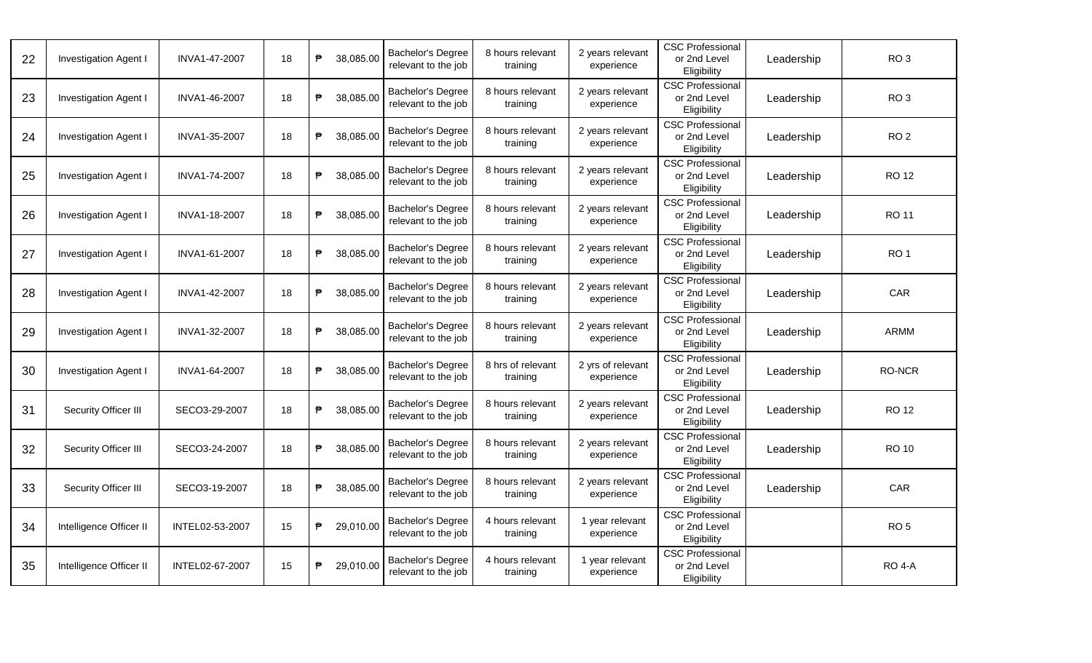| Investigation Agent I        | INVA1-47-2007   | 18 | ₱            | 38,085.00 | Bachelor's Degree<br>relevant to the job        | 8 hours relevant<br>training  | 2 years relevant<br>experience  | <b>CSC Professional</b><br>or 2nd Level<br>Eligibility | Leadership | RO <sub>3</sub> |
|------------------------------|-----------------|----|--------------|-----------|-------------------------------------------------|-------------------------------|---------------------------------|--------------------------------------------------------|------------|-----------------|
| <b>Investigation Agent I</b> | INVA1-46-2007   | 18 | ₱            | 38,085.00 | Bachelor's Degree<br>relevant to the job        | 8 hours relevant<br>training  | 2 years relevant<br>experience  | <b>CSC Professional</b><br>or 2nd Level<br>Eligibility | Leadership | RO <sub>3</sub> |
| <b>Investigation Agent I</b> | INVA1-35-2007   | 18 | ₱            | 38,085.00 | <b>Bachelor's Degree</b><br>relevant to the job | 8 hours relevant<br>training  | 2 years relevant<br>experience  | <b>CSC Professional</b><br>or 2nd Level<br>Eligibility | Leadership | RO <sub>2</sub> |
| <b>Investigation Agent I</b> | INVA1-74-2007   | 18 | $\mathsf{P}$ | 38,085.00 | Bachelor's Degree<br>relevant to the job        | 8 hours relevant<br>training  | 2 years relevant<br>experience  | <b>CSC Professional</b><br>or 2nd Level<br>Eligibility | Leadership | <b>RO 12</b>    |
| <b>Investigation Agent I</b> | INVA1-18-2007   | 18 | ₱            | 38,085.00 | <b>Bachelor's Degree</b><br>relevant to the job | 8 hours relevant<br>training  | 2 years relevant<br>experience  | <b>CSC Professional</b><br>or 2nd Level<br>Eligibility | Leadership | <b>RO 11</b>    |
| <b>Investigation Agent I</b> | INVA1-61-2007   | 18 | ₱            | 38,085.00 | <b>Bachelor's Degree</b><br>relevant to the job | 8 hours relevant<br>training  | 2 years relevant<br>experience  | <b>CSC Professional</b><br>or 2nd Level<br>Eligibility | Leadership | RO <sub>1</sub> |
| <b>Investigation Agent I</b> | INVA1-42-2007   | 18 | ₱            | 38,085.00 | Bachelor's Degree<br>relevant to the job        | 8 hours relevant<br>training  | 2 years relevant<br>experience  | <b>CSC Professional</b><br>or 2nd Level<br>Eligibility | Leadership | CAR             |
| <b>Investigation Agent I</b> | INVA1-32-2007   | 18 | ₱            | 38,085.00 | <b>Bachelor's Degree</b><br>relevant to the job | 8 hours relevant<br>training  | 2 years relevant<br>experience  | <b>CSC Professional</b><br>or 2nd Level<br>Eligibility | Leadership | <b>ARMM</b>     |
| <b>Investigation Agent I</b> | INVA1-64-2007   | 18 | ₱            | 38,085.00 | <b>Bachelor's Degree</b><br>relevant to the job | 8 hrs of relevant<br>training | 2 yrs of relevant<br>experience | <b>CSC Professional</b><br>or 2nd Level<br>Eligibility | Leadership | <b>RO-NCR</b>   |
| Security Officer III         | SECO3-29-2007   | 18 | ₱            | 38,085.00 | Bachelor's Degree<br>relevant to the job        | 8 hours relevant<br>training  | 2 years relevant<br>experience  | <b>CSC Professional</b><br>or 2nd Level<br>Eligibility | Leadership | <b>RO 12</b>    |
| Security Officer III         | SECO3-24-2007   | 18 | ₱            | 38,085.00 | Bachelor's Degree<br>relevant to the job        | 8 hours relevant<br>training  | 2 years relevant<br>experience  | <b>CSC Professional</b><br>or 2nd Level<br>Eligibility | Leadership | <b>RO 10</b>    |
| Security Officer III         | SECO3-19-2007   | 18 | ₱            | 38,085.00 | <b>Bachelor's Degree</b><br>relevant to the job | 8 hours relevant<br>training  | 2 years relevant<br>experience  | <b>CSC Professional</b><br>or 2nd Level<br>Eligibility | Leadership | CAR             |
| Intelligence Officer II      | INTEL02-53-2007 | 15 | ₱            | 29,010.00 | <b>Bachelor's Degree</b><br>relevant to the job | 4 hours relevant<br>training  | 1 year relevant<br>experience   | <b>CSC Professional</b><br>or 2nd Level<br>Eligibility |            | RO <sub>5</sub> |
| Intelligence Officer II      | INTEL02-67-2007 | 15 | ₱            | 29,010.00 | <b>Bachelor's Degree</b><br>relevant to the job | 4 hours relevant<br>training  | 1 year relevant<br>experience   | <b>CSC Professional</b><br>or 2nd Level<br>Eligibility |            | <b>RO 4-A</b>   |
|                              |                 |    |              |           |                                                 |                               |                                 |                                                        |            |                 |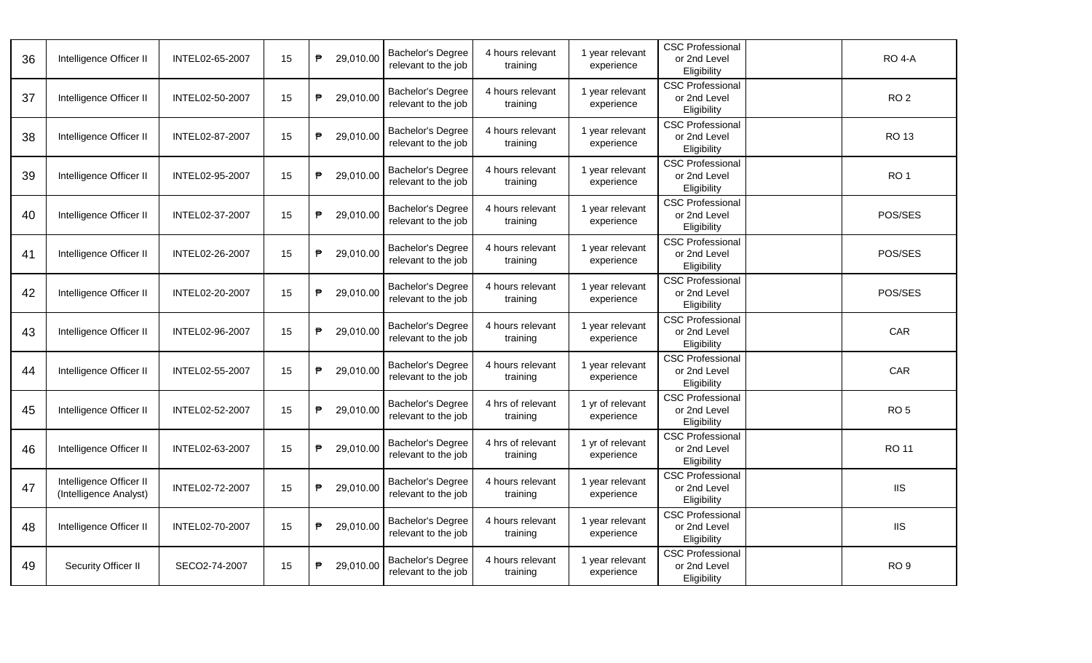| 36 | Intelligence Officer II                           | INTEL02-65-2007 | 15 | ₱. | 29,010.00 | <b>Bachelor's Degree</b><br>relevant to the job | 4 hours relevant<br>training  | 1 year relevant<br>experience  | <b>CSC Professional</b><br>or 2nd Level<br>Eligibility | <b>RO 4-A</b>   |
|----|---------------------------------------------------|-----------------|----|----|-----------|-------------------------------------------------|-------------------------------|--------------------------------|--------------------------------------------------------|-----------------|
| 37 | Intelligence Officer II                           | INTEL02-50-2007 | 15 | ₱  | 29,010.00 | <b>Bachelor's Degree</b><br>relevant to the job | 4 hours relevant<br>training  | 1 year relevant<br>experience  | <b>CSC Professional</b><br>or 2nd Level<br>Eligibility | RO <sub>2</sub> |
| 38 | Intelligence Officer II                           | INTEL02-87-2007 | 15 | ₱  | 29,010.00 | Bachelor's Degree<br>relevant to the job        | 4 hours relevant<br>training  | 1 year relevant<br>experience  | <b>CSC Professional</b><br>or 2nd Level<br>Eligibility | <b>RO 13</b>    |
| 39 | Intelligence Officer II                           | INTEL02-95-2007 | 15 | ₱  | 29,010.00 | <b>Bachelor's Degree</b><br>relevant to the job | 4 hours relevant<br>training  | 1 year relevant<br>experience  | <b>CSC Professional</b><br>or 2nd Level<br>Eligibility | RO <sub>1</sub> |
| 40 | Intelligence Officer II                           | INTEL02-37-2007 | 15 | ₱  | 29,010.00 | <b>Bachelor's Degree</b><br>relevant to the job | 4 hours relevant<br>training  | 1 year relevant<br>experience  | <b>CSC Professional</b><br>or 2nd Level<br>Eligibility | POS/SES         |
| 41 | Intelligence Officer II                           | INTEL02-26-2007 | 15 | ₱  | 29,010.00 | <b>Bachelor's Degree</b><br>relevant to the job | 4 hours relevant<br>training  | 1 year relevant<br>experience  | <b>CSC Professional</b><br>or 2nd Level<br>Eligibility | POS/SES         |
| 42 | Intelligence Officer II                           | INTEL02-20-2007 | 15 | ₱  | 29,010.00 | Bachelor's Degree<br>relevant to the job        | 4 hours relevant<br>training  | 1 year relevant<br>experience  | <b>CSC Professional</b><br>or 2nd Level<br>Eligibility | POS/SES         |
| 43 | Intelligence Officer II                           | INTEL02-96-2007 | 15 | ₱  | 29,010.00 | Bachelor's Degree<br>relevant to the job        | 4 hours relevant<br>training  | 1 year relevant<br>experience  | <b>CSC Professional</b><br>or 2nd Level<br>Eligibility | CAR             |
| 44 | Intelligence Officer II                           | INTEL02-55-2007 | 15 | ₱  | 29,010.00 | Bachelor's Degree<br>relevant to the job        | 4 hours relevant<br>training  | 1 year relevant<br>experience  | <b>CSC Professional</b><br>or 2nd Level<br>Eligibility | <b>CAR</b>      |
| 45 | Intelligence Officer II                           | INTEL02-52-2007 | 15 | ₱  | 29,010.00 | Bachelor's Degree<br>relevant to the job        | 4 hrs of relevant<br>training | 1 yr of relevant<br>experience | <b>CSC Professional</b><br>or 2nd Level<br>Eligibility | RO <sub>5</sub> |
| 46 | Intelligence Officer II                           | INTEL02-63-2007 | 15 | ₱  | 29,010.00 | <b>Bachelor's Degree</b><br>relevant to the job | 4 hrs of relevant<br>training | 1 yr of relevant<br>experience | <b>CSC Professional</b><br>or 2nd Level<br>Eligibility | <b>RO 11</b>    |
| 47 | Intelligence Officer II<br>(Intelligence Analyst) | INTEL02-72-2007 | 15 | ₱  | 29,010.00 | <b>Bachelor's Degree</b><br>relevant to the job | 4 hours relevant<br>training  | 1 year relevant<br>experience  | <b>CSC Professional</b><br>or 2nd Level<br>Eligibility | <b>IIS</b>      |
| 48 | Intelligence Officer II                           | INTEL02-70-2007 | 15 | ₱  | 29,010.00 | Bachelor's Degree<br>relevant to the job        | 4 hours relevant<br>training  | 1 year relevant<br>experience  | <b>CSC Professional</b><br>or 2nd Level<br>Eligibility | <b>IIS</b>      |
| 49 | Security Officer II                               | SECO2-74-2007   | 15 | ₱  | 29,010.00 | Bachelor's Degree<br>relevant to the job        | 4 hours relevant<br>training  | 1 year relevant<br>experience  | <b>CSC Professional</b><br>or 2nd Level<br>Eligibility | RO <sub>9</sub> |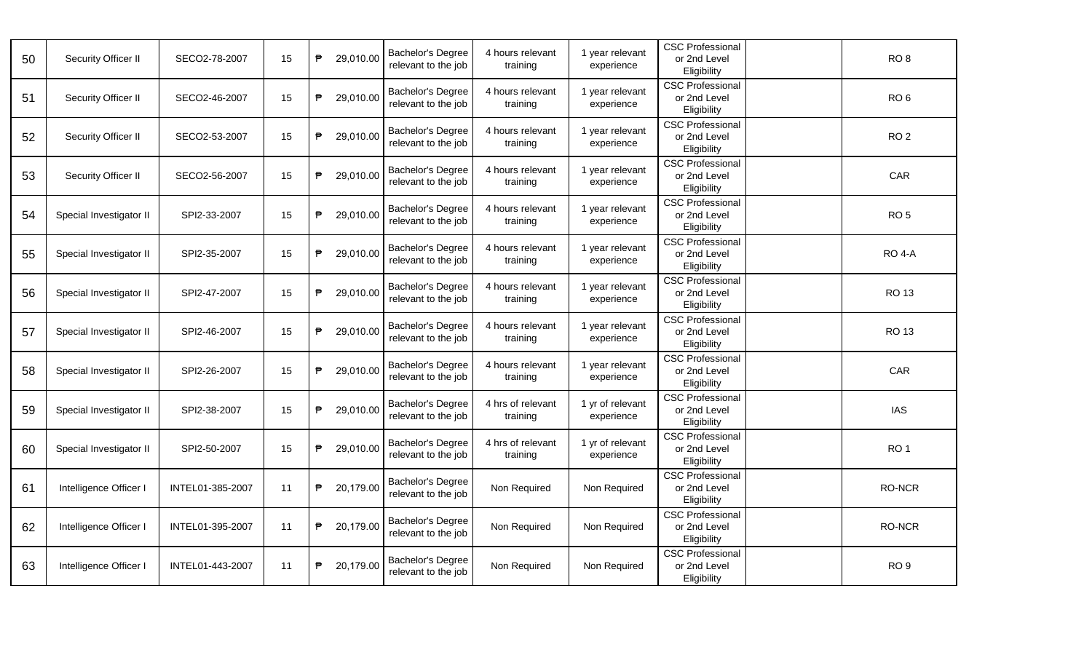| 50 | Security Officer II     | SECO2-78-2007    | 15 | ₱ | 29,010.00 | Bachelor's Degree<br>relevant to the job        | 4 hours relevant<br>training  | 1 year relevant<br>experience  | <b>CSC Professional</b><br>or 2nd Level<br>Eligibility | RO <sub>8</sub> |
|----|-------------------------|------------------|----|---|-----------|-------------------------------------------------|-------------------------------|--------------------------------|--------------------------------------------------------|-----------------|
| 51 | Security Officer II     | SECO2-46-2007    | 15 | ₱ | 29,010.00 | Bachelor's Degree<br>relevant to the job        | 4 hours relevant<br>training  | 1 year relevant<br>experience  | <b>CSC Professional</b><br>or 2nd Level<br>Eligibility | RO <sub>6</sub> |
| 52 | Security Officer II     | SECO2-53-2007    | 15 | ₱ | 29,010.00 | Bachelor's Degree<br>relevant to the job        | 4 hours relevant<br>training  | 1 year relevant<br>experience  | <b>CSC Professional</b><br>or 2nd Level<br>Eligibility | RO <sub>2</sub> |
| 53 | Security Officer II     | SECO2-56-2007    | 15 | ₱ | 29,010.00 | <b>Bachelor's Degree</b><br>relevant to the job | 4 hours relevant<br>training  | 1 year relevant<br>experience  | <b>CSC Professional</b><br>or 2nd Level<br>Eligibility | CAR             |
| 54 | Special Investigator II | SPI2-33-2007     | 15 | ₱ | 29,010.00 | <b>Bachelor's Degree</b><br>relevant to the job | 4 hours relevant<br>training  | 1 year relevant<br>experience  | <b>CSC Professional</b><br>or 2nd Level<br>Eligibility | RO <sub>5</sub> |
| 55 | Special Investigator II | SPI2-35-2007     | 15 | ₱ | 29,010.00 | <b>Bachelor's Degree</b><br>relevant to the job | 4 hours relevant<br>training  | 1 year relevant<br>experience  | <b>CSC Professional</b><br>or 2nd Level<br>Eligibility | <b>RO 4-A</b>   |
| 56 | Special Investigator II | SPI2-47-2007     | 15 | ₱ | 29,010.00 | Bachelor's Degree<br>relevant to the job        | 4 hours relevant<br>training  | 1 year relevant<br>experience  | <b>CSC Professional</b><br>or 2nd Level<br>Eligibility | <b>RO 13</b>    |
| 57 | Special Investigator II | SPI2-46-2007     | 15 | ₱ | 29,010.00 | Bachelor's Degree<br>relevant to the job        | 4 hours relevant<br>training  | 1 year relevant<br>experience  | <b>CSC Professional</b><br>or 2nd Level<br>Eligibility | <b>RO 13</b>    |
| 58 | Special Investigator II | SPI2-26-2007     | 15 | ₱ | 29,010.00 | Bachelor's Degree<br>relevant to the job        | 4 hours relevant<br>training  | 1 year relevant<br>experience  | <b>CSC Professional</b><br>or 2nd Level<br>Eligibility | CAR             |
| 59 | Special Investigator II | SPI2-38-2007     | 15 | ₱ | 29,010.00 | Bachelor's Degree<br>relevant to the job        | 4 hrs of relevant<br>training | 1 yr of relevant<br>experience | <b>CSC Professional</b><br>or 2nd Level<br>Eligibility | <b>IAS</b>      |
| 60 | Special Investigator II | SPI2-50-2007     | 15 | ₱ | 29,010.00 | <b>Bachelor's Degree</b><br>relevant to the job | 4 hrs of relevant<br>training | 1 yr of relevant<br>experience | <b>CSC Professional</b><br>or 2nd Level<br>Eligibility | RO <sub>1</sub> |
| 61 | Intelligence Officer I  | INTEL01-385-2007 | 11 | ₱ | 20,179.00 | <b>Bachelor's Degree</b><br>relevant to the job | Non Required                  | Non Required                   | <b>CSC Professional</b><br>or 2nd Level<br>Eligibility | RO-NCR          |
| 62 | Intelligence Officer I  | INTEL01-395-2007 | 11 | ₱ | 20,179.00 | Bachelor's Degree<br>relevant to the job        | Non Required                  | Non Required                   | <b>CSC Professional</b><br>or 2nd Level<br>Eligibility | <b>RO-NCR</b>   |
| 63 | Intelligence Officer I  | INTEL01-443-2007 | 11 | ₱ | 20,179.00 | Bachelor's Degree<br>relevant to the job        | Non Required                  | Non Required                   | <b>CSC Professional</b><br>or 2nd Level<br>Eligibility | RO <sub>9</sub> |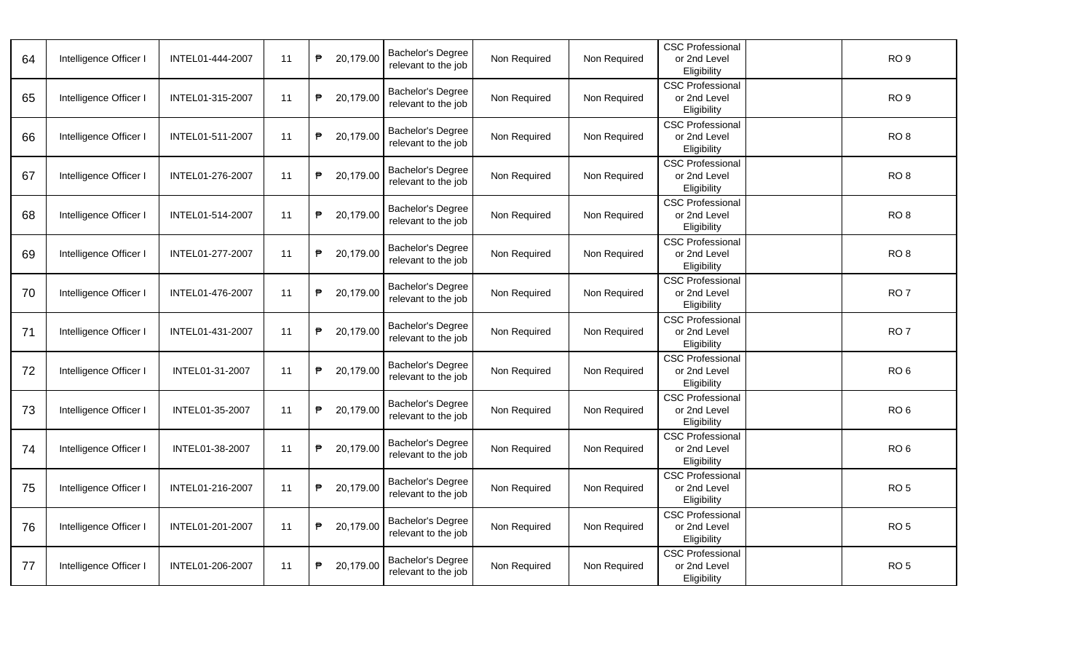| 64 | Intelligence Officer I | INTEL01-444-2007 | 11 | ₱ | 20,179.00 | Bachelor's Degree<br>relevant to the job        | Non Required | Non Required | <b>CSC Professional</b><br>or 2nd Level<br>Eligibility | RO <sub>9</sub> |
|----|------------------------|------------------|----|---|-----------|-------------------------------------------------|--------------|--------------|--------------------------------------------------------|-----------------|
| 65 | Intelligence Officer I | INTEL01-315-2007 | 11 | ₱ | 20,179.00 | Bachelor's Degree<br>relevant to the job        | Non Required | Non Required | <b>CSC Professional</b><br>or 2nd Level<br>Eligibility | RO <sub>9</sub> |
| 66 | Intelligence Officer I | INTEL01-511-2007 | 11 | ₱ | 20,179.00 | <b>Bachelor's Degree</b><br>relevant to the job | Non Required | Non Required | <b>CSC Professional</b><br>or 2nd Level<br>Eligibility | RO <sub>8</sub> |
| 67 | Intelligence Officer I | INTEL01-276-2007 | 11 | ₱ | 20,179.00 | Bachelor's Degree<br>relevant to the job        | Non Required | Non Required | <b>CSC Professional</b><br>or 2nd Level<br>Eligibility | RO <sub>8</sub> |
| 68 | Intelligence Officer I | INTEL01-514-2007 | 11 | ₱ | 20,179.00 | Bachelor's Degree<br>relevant to the job        | Non Required | Non Required | <b>CSC Professional</b><br>or 2nd Level<br>Eligibility | RO <sub>8</sub> |
| 69 | Intelligence Officer I | INTEL01-277-2007 | 11 | ₱ | 20,179.00 | Bachelor's Degree<br>relevant to the job        | Non Required | Non Required | <b>CSC Professional</b><br>or 2nd Level<br>Eligibility | RO <sub>8</sub> |
| 70 | Intelligence Officer I | INTEL01-476-2007 | 11 | ₱ | 20,179.00 | Bachelor's Degree<br>relevant to the job        | Non Required | Non Required | <b>CSC Professional</b><br>or 2nd Level<br>Eligibility | RO <sub>7</sub> |
| 71 | Intelligence Officer I | INTEL01-431-2007 | 11 | ₱ | 20,179.00 | Bachelor's Degree<br>relevant to the job        | Non Required | Non Required | <b>CSC Professional</b><br>or 2nd Level<br>Eligibility | RO <sub>7</sub> |
| 72 | Intelligence Officer I | INTEL01-31-2007  | 11 | ₱ | 20,179.00 | Bachelor's Degree<br>relevant to the job        | Non Required | Non Required | <b>CSC Professional</b><br>or 2nd Level<br>Eligibility | RO <sub>6</sub> |
| 73 | Intelligence Officer I | INTEL01-35-2007  | 11 | ₱ | 20,179.00 | Bachelor's Degree<br>relevant to the job        | Non Required | Non Required | <b>CSC Professional</b><br>or 2nd Level<br>Eligibility | RO <sub>6</sub> |
| 74 | Intelligence Officer I | INTEL01-38-2007  | 11 | ₱ | 20,179.00 | Bachelor's Degree<br>relevant to the job        | Non Required | Non Required | <b>CSC Professional</b><br>or 2nd Level<br>Eligibility | RO <sub>6</sub> |
| 75 | Intelligence Officer I | INTEL01-216-2007 | 11 | ₱ | 20,179.00 | Bachelor's Degree<br>relevant to the job        | Non Required | Non Required | <b>CSC Professional</b><br>or 2nd Level<br>Eligibility | RO <sub>5</sub> |
| 76 | Intelligence Officer I | INTEL01-201-2007 | 11 | ₱ | 20,179.00 | Bachelor's Degree<br>relevant to the job        | Non Required | Non Required | <b>CSC Professional</b><br>or 2nd Level<br>Eligibility | RO <sub>5</sub> |
| 77 | Intelligence Officer I | INTEL01-206-2007 | 11 | ₱ | 20,179.00 | Bachelor's Degree<br>relevant to the job        | Non Required | Non Required | <b>CSC Professional</b><br>or 2nd Level<br>Eligibility | RO <sub>5</sub> |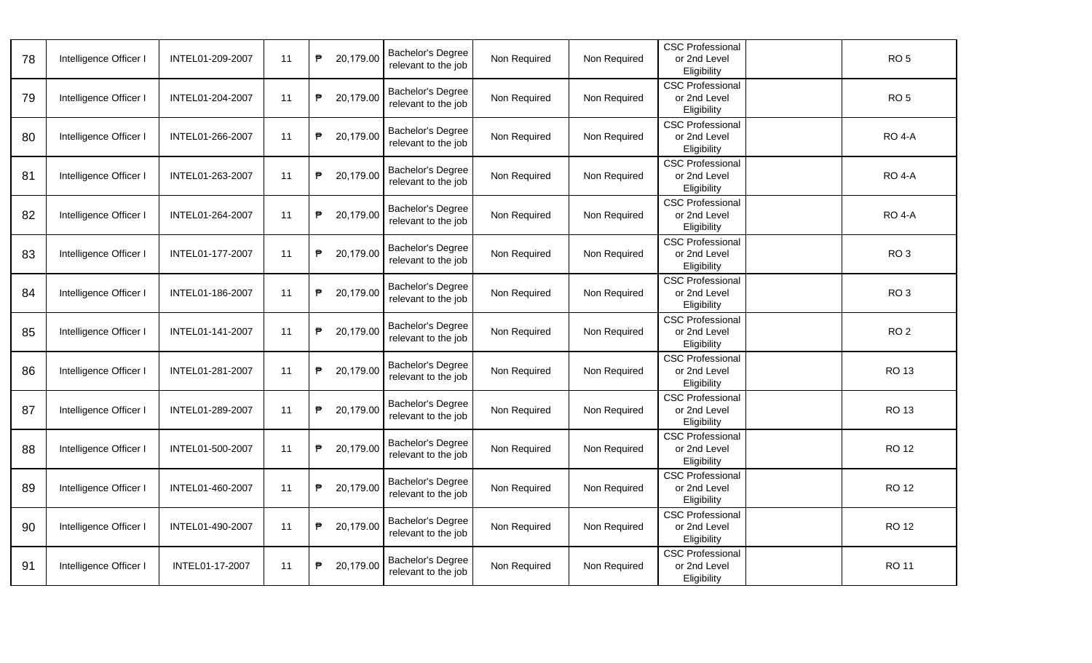| 78 | Intelligence Officer I | INTEL01-209-2007 | 11 | ₱ | 20,179.00 | Bachelor's Degree<br>relevant to the job | Non Required | Non Required | <b>CSC Professional</b><br>or 2nd Level<br>Eligibility | RO <sub>5</sub> |
|----|------------------------|------------------|----|---|-----------|------------------------------------------|--------------|--------------|--------------------------------------------------------|-----------------|
| 79 | Intelligence Officer I | INTEL01-204-2007 | 11 | ₱ | 20,179.00 | Bachelor's Degree<br>relevant to the job | Non Required | Non Required | <b>CSC Professional</b><br>or 2nd Level<br>Eligibility | RO <sub>5</sub> |
| 80 | Intelligence Officer I | INTEL01-266-2007 | 11 | ₱ | 20,179.00 | Bachelor's Degree<br>relevant to the job | Non Required | Non Required | <b>CSC Professional</b><br>or 2nd Level<br>Eligibility | <b>RO 4-A</b>   |
| 81 | Intelligence Officer I | INTEL01-263-2007 | 11 | ₱ | 20,179.00 | Bachelor's Degree<br>relevant to the job | Non Required | Non Required | <b>CSC Professional</b><br>or 2nd Level<br>Eligibility | <b>RO 4-A</b>   |
| 82 | Intelligence Officer I | INTEL01-264-2007 | 11 | ₱ | 20,179.00 | Bachelor's Degree<br>relevant to the job | Non Required | Non Required | <b>CSC Professional</b><br>or 2nd Level<br>Eligibility | <b>RO 4-A</b>   |
| 83 | Intelligence Officer I | INTEL01-177-2007 | 11 | ₱ | 20,179.00 | Bachelor's Degree<br>relevant to the job | Non Required | Non Required | <b>CSC Professional</b><br>or 2nd Level<br>Eligibility | RO <sub>3</sub> |
| 84 | Intelligence Officer I | INTEL01-186-2007 | 11 | ₱ | 20,179.00 | Bachelor's Degree<br>relevant to the job | Non Required | Non Required | <b>CSC Professional</b><br>or 2nd Level<br>Eligibility | RO <sub>3</sub> |
| 85 | Intelligence Officer I | INTEL01-141-2007 | 11 | ₱ | 20,179.00 | Bachelor's Degree<br>relevant to the job | Non Required | Non Required | <b>CSC Professional</b><br>or 2nd Level<br>Eligibility | RO <sub>2</sub> |
| 86 | Intelligence Officer I | INTEL01-281-2007 | 11 | ₱ | 20,179.00 | Bachelor's Degree<br>relevant to the job | Non Required | Non Required | <b>CSC Professional</b><br>or 2nd Level<br>Eligibility | <b>RO 13</b>    |
| 87 | Intelligence Officer I | INTEL01-289-2007 | 11 | ₱ | 20,179.00 | Bachelor's Degree<br>relevant to the job | Non Required | Non Required | <b>CSC Professional</b><br>or 2nd Level<br>Eligibility | <b>RO 13</b>    |
| 88 | Intelligence Officer I | INTEL01-500-2007 | 11 | ₱ | 20,179.00 | Bachelor's Degree<br>relevant to the job | Non Required | Non Required | <b>CSC Professional</b><br>or 2nd Level<br>Eligibility | <b>RO 12</b>    |
| 89 | Intelligence Officer I | INTEL01-460-2007 | 11 | ₱ | 20,179.00 | Bachelor's Degree<br>relevant to the job | Non Required | Non Required | <b>CSC Professional</b><br>or 2nd Level<br>Eligibility | <b>RO 12</b>    |
| 90 | Intelligence Officer I | INTEL01-490-2007 | 11 | ₱ | 20,179.00 | Bachelor's Degree<br>relevant to the job | Non Required | Non Required | <b>CSC Professional</b><br>or 2nd Level<br>Eligibility | <b>RO 12</b>    |
| 91 | Intelligence Officer I | INTEL01-17-2007  | 11 | ₱ | 20,179.00 | Bachelor's Degree<br>relevant to the job | Non Required | Non Required | <b>CSC Professional</b><br>or 2nd Level<br>Eligibility | <b>RO 11</b>    |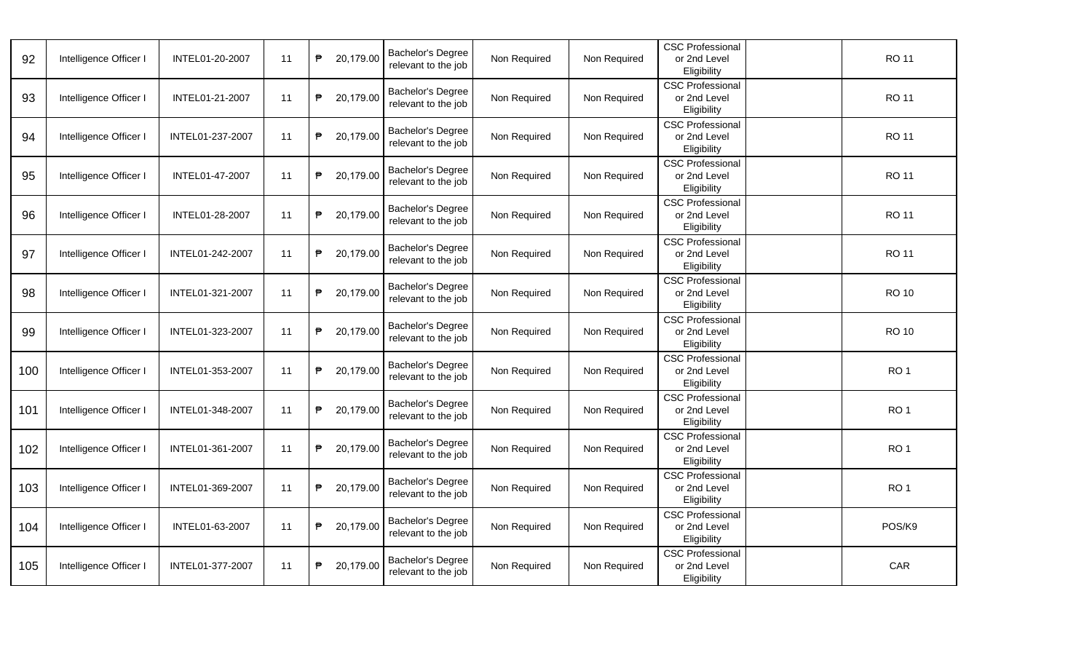| 92  | Intelligence Officer I | INTEL01-20-2007  | 11 | ₱ | 20,179.00 | Bachelor's Degree<br>relevant to the job        | Non Required | Non Required | <b>CSC Professional</b><br>or 2nd Level<br>Eligibility | <b>RO 11</b>    |
|-----|------------------------|------------------|----|---|-----------|-------------------------------------------------|--------------|--------------|--------------------------------------------------------|-----------------|
| 93  | Intelligence Officer I | INTEL01-21-2007  | 11 | ₱ | 20,179.00 | <b>Bachelor's Degree</b><br>relevant to the job | Non Required | Non Required | <b>CSC Professional</b><br>or 2nd Level<br>Eligibility | <b>RO 11</b>    |
| 94  | Intelligence Officer I | INTEL01-237-2007 | 11 | ₱ | 20,179.00 | Bachelor's Degree<br>relevant to the job        | Non Required | Non Required | <b>CSC Professional</b><br>or 2nd Level<br>Eligibility | <b>RO 11</b>    |
| 95  | Intelligence Officer I | INTEL01-47-2007  | 11 | ₱ | 20,179.00 | Bachelor's Degree<br>relevant to the job        | Non Required | Non Required | <b>CSC Professional</b><br>or 2nd Level<br>Eligibility | <b>RO 11</b>    |
| 96  | Intelligence Officer I | INTEL01-28-2007  | 11 | ₱ | 20,179.00 | <b>Bachelor's Degree</b><br>relevant to the job | Non Required | Non Required | <b>CSC Professional</b><br>or 2nd Level<br>Eligibility | <b>RO 11</b>    |
| 97  | Intelligence Officer I | INTEL01-242-2007 | 11 | ₱ | 20,179.00 | Bachelor's Degree<br>relevant to the job        | Non Required | Non Required | <b>CSC Professional</b><br>or 2nd Level<br>Eligibility | <b>RO 11</b>    |
| 98  | Intelligence Officer I | INTEL01-321-2007 | 11 | ₱ | 20,179.00 | Bachelor's Degree<br>relevant to the job        | Non Required | Non Required | <b>CSC Professional</b><br>or 2nd Level<br>Eligibility | <b>RO 10</b>    |
| 99  | Intelligence Officer I | INTEL01-323-2007 | 11 | ₱ | 20,179.00 | <b>Bachelor's Degree</b><br>relevant to the job | Non Required | Non Required | <b>CSC Professional</b><br>or 2nd Level<br>Eligibility | <b>RO 10</b>    |
| 100 | Intelligence Officer I | INTEL01-353-2007 | 11 | ₱ | 20,179.00 | Bachelor's Degree<br>relevant to the job        | Non Required | Non Required | <b>CSC Professional</b><br>or 2nd Level<br>Eligibility | RO <sub>1</sub> |
| 101 | Intelligence Officer I | INTEL01-348-2007 | 11 | ₱ | 20,179.00 | Bachelor's Degree<br>relevant to the job        | Non Required | Non Required | <b>CSC Professional</b><br>or 2nd Level<br>Eligibility | RO <sub>1</sub> |
| 102 | Intelligence Officer I | INTEL01-361-2007 | 11 | ₱ | 20,179.00 | Bachelor's Degree<br>relevant to the job        | Non Required | Non Required | <b>CSC Professional</b><br>or 2nd Level<br>Eligibility | RO <sub>1</sub> |
| 103 | Intelligence Officer I | INTEL01-369-2007 | 11 | ₱ | 20,179.00 | Bachelor's Degree<br>relevant to the job        | Non Required | Non Required | <b>CSC Professional</b><br>or 2nd Level<br>Eligibility | RO <sub>1</sub> |
| 104 | Intelligence Officer I | INTEL01-63-2007  | 11 | ₱ | 20,179.00 | Bachelor's Degree<br>relevant to the job        | Non Required | Non Required | <b>CSC Professional</b><br>or 2nd Level<br>Eligibility | POS/K9          |
| 105 | Intelligence Officer I | INTEL01-377-2007 | 11 | ₱ | 20,179.00 | Bachelor's Degree<br>relevant to the job        | Non Required | Non Required | <b>CSC Professional</b><br>or 2nd Level<br>Eligibility | CAR             |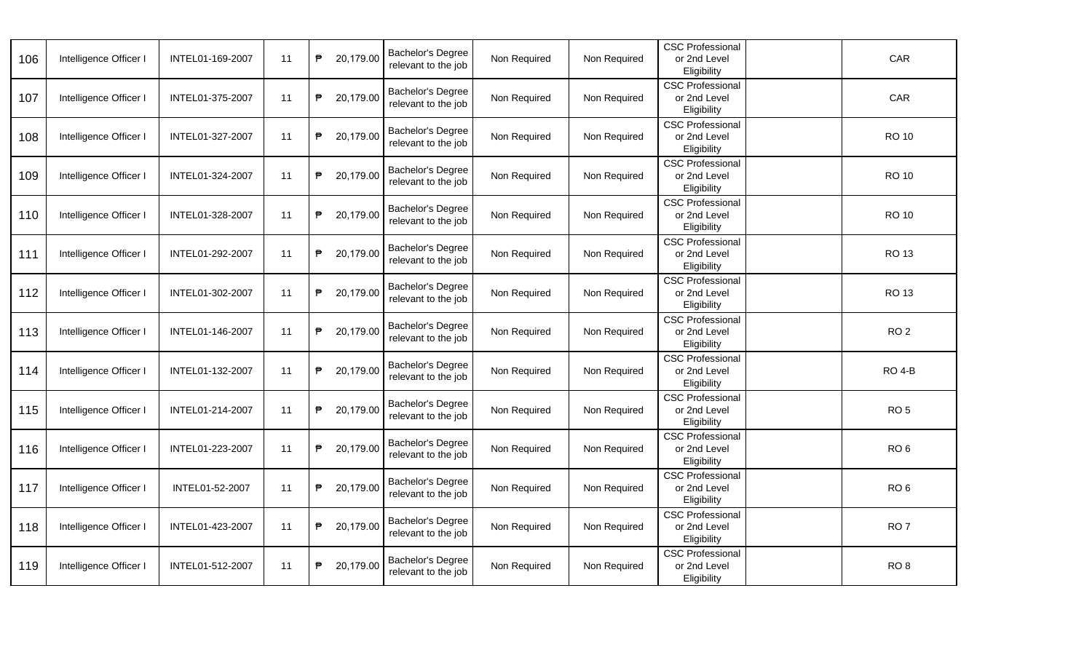| 106 | Intelligence Officer I | INTEL01-169-2007 | 11 | ₱ | 20,179.00 | Bachelor's Degree<br>relevant to the job        | Non Required | Non Required | <b>CSC Professional</b><br>or 2nd Level<br>Eligibility | CAR             |
|-----|------------------------|------------------|----|---|-----------|-------------------------------------------------|--------------|--------------|--------------------------------------------------------|-----------------|
| 107 | Intelligence Officer I | INTEL01-375-2007 | 11 | ₱ | 20,179.00 | Bachelor's Degree<br>relevant to the job        | Non Required | Non Required | <b>CSC Professional</b><br>or 2nd Level<br>Eligibility | CAR             |
| 108 | Intelligence Officer I | INTEL01-327-2007 | 11 | ₱ | 20,179.00 | Bachelor's Degree<br>relevant to the job        | Non Required | Non Required | <b>CSC Professional</b><br>or 2nd Level<br>Eligibility | <b>RO 10</b>    |
| 109 | Intelligence Officer I | INTEL01-324-2007 | 11 | ₱ | 20,179.00 | Bachelor's Degree<br>relevant to the job        | Non Required | Non Required | <b>CSC Professional</b><br>or 2nd Level<br>Eligibility | <b>RO 10</b>    |
| 110 | Intelligence Officer I | INTEL01-328-2007 | 11 | ₱ | 20,179.00 | <b>Bachelor's Degree</b><br>relevant to the job | Non Required | Non Required | <b>CSC Professional</b><br>or 2nd Level<br>Eligibility | <b>RO 10</b>    |
| 111 | Intelligence Officer I | INTEL01-292-2007 | 11 | ₱ | 20,179.00 | Bachelor's Degree<br>relevant to the job        | Non Required | Non Required | <b>CSC Professional</b><br>or 2nd Level<br>Eligibility | <b>RO 13</b>    |
| 112 | Intelligence Officer I | INTEL01-302-2007 | 11 | ₱ | 20,179.00 | Bachelor's Degree<br>relevant to the job        | Non Required | Non Required | <b>CSC Professional</b><br>or 2nd Level<br>Eligibility | <b>RO 13</b>    |
| 113 | Intelligence Officer I | INTEL01-146-2007 | 11 | ₱ | 20,179.00 | Bachelor's Degree<br>relevant to the job        | Non Required | Non Required | <b>CSC Professional</b><br>or 2nd Level<br>Eligibility | RO <sub>2</sub> |
| 114 | Intelligence Officer I | INTEL01-132-2007 | 11 | ₱ | 20,179.00 | Bachelor's Degree<br>relevant to the job        | Non Required | Non Required | <b>CSC Professional</b><br>or 2nd Level<br>Eligibility | <b>RO 4-B</b>   |
| 115 | Intelligence Officer I | INTEL01-214-2007 | 11 | ₱ | 20,179.00 | Bachelor's Degree<br>relevant to the job        | Non Required | Non Required | <b>CSC Professional</b><br>or 2nd Level<br>Eligibility | RO <sub>5</sub> |
| 116 | Intelligence Officer I | INTEL01-223-2007 | 11 | ₱ | 20,179.00 | Bachelor's Degree<br>relevant to the job        | Non Required | Non Required | <b>CSC Professional</b><br>or 2nd Level<br>Eligibility | RO <sub>6</sub> |
| 117 | Intelligence Officer I | INTEL01-52-2007  | 11 | ₱ | 20,179.00 | Bachelor's Degree<br>relevant to the job        | Non Required | Non Required | <b>CSC Professional</b><br>or 2nd Level<br>Eligibility | RO <sub>6</sub> |
| 118 | Intelligence Officer I | INTEL01-423-2007 | 11 | ₱ | 20,179.00 | Bachelor's Degree<br>relevant to the job        | Non Required | Non Required | <b>CSC Professional</b><br>or 2nd Level<br>Eligibility | RO <sub>7</sub> |
| 119 | Intelligence Officer I | INTEL01-512-2007 | 11 | ₱ | 20,179.00 | Bachelor's Degree<br>relevant to the job        | Non Required | Non Required | <b>CSC Professional</b><br>or 2nd Level<br>Eligibility | RO <sub>8</sub> |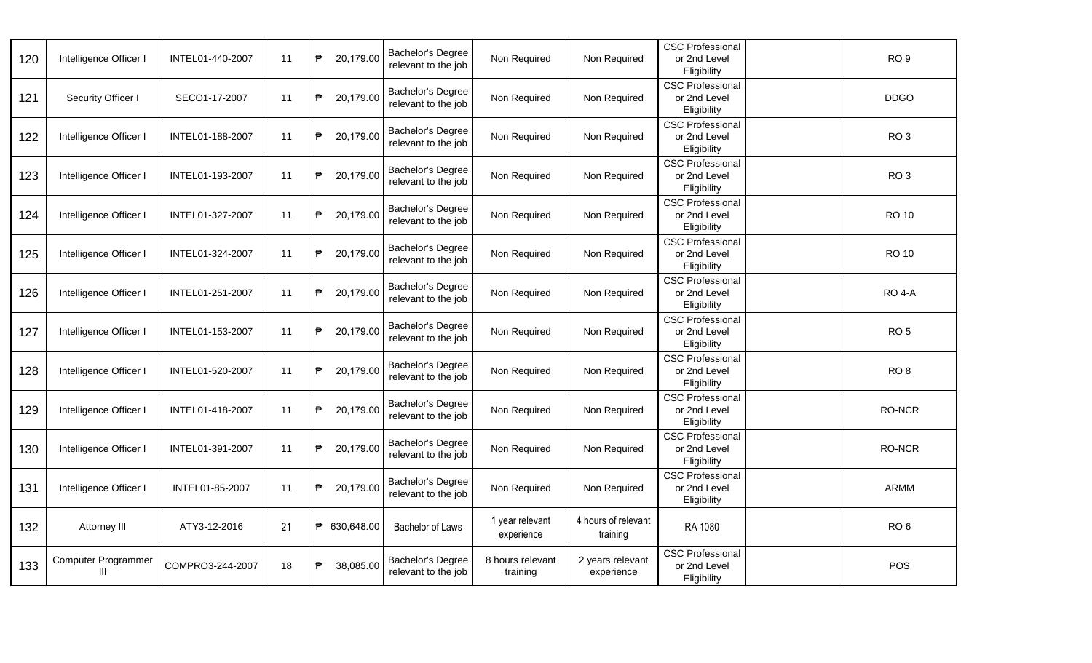| 120 | Intelligence Officer I          | INTEL01-440-2007 | 11 | ₱<br>20,179.00 | Bachelor's Degree<br>relevant to the job        | Non Required                  | Non Required                    | <b>CSC Professional</b><br>or 2nd Level<br>Eligibility | RO <sub>9</sub> |
|-----|---------------------------------|------------------|----|----------------|-------------------------------------------------|-------------------------------|---------------------------------|--------------------------------------------------------|-----------------|
| 121 | Security Officer I              | SECO1-17-2007    | 11 | ₱<br>20,179.00 | Bachelor's Degree<br>relevant to the job        | Non Required                  | Non Required                    | <b>CSC Professional</b><br>or 2nd Level<br>Eligibility | <b>DDGO</b>     |
| 122 | Intelligence Officer I          | INTEL01-188-2007 | 11 | ₱<br>20,179.00 | <b>Bachelor's Degree</b><br>relevant to the job | Non Required                  | Non Required                    | <b>CSC Professional</b><br>or 2nd Level<br>Eligibility | RO <sub>3</sub> |
| 123 | Intelligence Officer I          | INTEL01-193-2007 | 11 | ₱<br>20,179.00 | Bachelor's Degree<br>relevant to the job        | Non Required                  | Non Required                    | <b>CSC Professional</b><br>or 2nd Level<br>Eligibility | RO <sub>3</sub> |
| 124 | Intelligence Officer I          | INTEL01-327-2007 | 11 | ₱<br>20,179.00 | Bachelor's Degree<br>relevant to the job        | Non Required                  | Non Required                    | <b>CSC Professional</b><br>or 2nd Level<br>Eligibility | <b>RO 10</b>    |
| 125 | Intelligence Officer I          | INTEL01-324-2007 | 11 | ₱<br>20,179.00 | Bachelor's Degree<br>relevant to the job        | Non Required                  | Non Required                    | <b>CSC Professional</b><br>or 2nd Level<br>Eligibility | <b>RO 10</b>    |
| 126 | Intelligence Officer I          | INTEL01-251-2007 | 11 | ₱<br>20,179.00 | Bachelor's Degree<br>relevant to the job        | Non Required                  | Non Required                    | <b>CSC Professional</b><br>or 2nd Level<br>Eligibility | <b>RO 4-A</b>   |
| 127 | Intelligence Officer I          | INTEL01-153-2007 | 11 | 20,179.00<br>₱ | Bachelor's Degree<br>relevant to the job        | Non Required                  | Non Required                    | <b>CSC Professional</b><br>or 2nd Level<br>Eligibility | RO <sub>5</sub> |
| 128 | Intelligence Officer I          | INTEL01-520-2007 | 11 | ₱<br>20,179.00 | Bachelor's Degree<br>relevant to the job        | Non Required                  | Non Required                    | <b>CSC Professional</b><br>or 2nd Level<br>Eligibility | RO <sub>8</sub> |
| 129 | Intelligence Officer I          | INTEL01-418-2007 | 11 | ₱<br>20,179.00 | Bachelor's Degree<br>relevant to the job        | Non Required                  | Non Required                    | CSC Professional<br>or 2nd Level<br>Eligibility        | RO-NCR          |
| 130 | Intelligence Officer I          | INTEL01-391-2007 | 11 | ₱<br>20,179.00 | Bachelor's Degree<br>relevant to the job        | Non Required                  | Non Required                    | <b>CSC Professional</b><br>or 2nd Level<br>Eligibility | RO-NCR          |
| 131 | Intelligence Officer I          | INTEL01-85-2007  | 11 | ₱<br>20,179.00 | Bachelor's Degree<br>relevant to the job        | Non Required                  | Non Required                    | <b>CSC Professional</b><br>or 2nd Level<br>Eligibility | <b>ARMM</b>     |
| 132 | Attorney III                    | ATY3-12-2016     | 21 | ₱ 630,648.00   | Bachelor of Laws                                | 1 year relevant<br>experience | 4 hours of relevant<br>training | RA 1080                                                | RO <sub>6</sub> |
| 133 | <b>Computer Programmer</b><br>Ш | COMPRO3-244-2007 | 18 | ₱<br>38,085.00 | Bachelor's Degree<br>relevant to the job        | 8 hours relevant<br>training  | 2 years relevant<br>experience  | <b>CSC Professional</b><br>or 2nd Level<br>Eligibility | POS             |